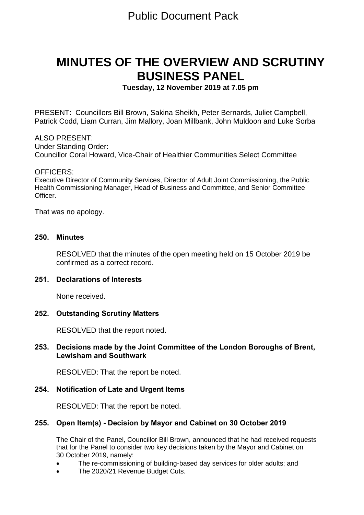# **MINUTES OF THE OVERVIEW AND SCRUTINY BUSINESS PANEL**

**Tuesday, 12 November 2019 at 7.05 pm**

PRESENT: Councillors Bill Brown, Sakina Sheikh, Peter Bernards, Juliet Campbell, Patrick Codd, Liam Curran, Jim Mallory, Joan Millbank, John Muldoon and Luke Sorba

ALSO PRESENT: Under Standing Order: Councillor Coral Howard, Vice-Chair of Healthier Communities Select Committee

#### OFFICERS:

Executive Director of Community Services, Director of Adult Joint Commissioning, the Public Health Commissioning Manager, Head of Business and Committee, and Senior Committee Officer.

That was no apology.

#### **250. Minutes**

RESOLVED that the minutes of the open meeting held on 15 October 2019 be confirmed as a correct record.

## **251. Declarations of Interests**

None received.

#### **252. Outstanding Scrutiny Matters**

RESOLVED that the report noted.

## **253. Decisions made by the Joint Committee of the London Boroughs of Brent, Lewisham and Southwark**

RESOLVED: That the report be noted.

#### **254. Notification of Late and Urgent Items**

RESOLVED: That the report be noted.

#### **255. Open Item(s) - Decision by Mayor and Cabinet on 30 October 2019**

The Chair of the Panel, Councillor Bill Brown, announced that he had received requests that for the Panel to consider two key decisions taken by the Mayor and Cabinet on 30 October 2019, namely:

- The re-commissioning of building-based day services for older adults; and
- The 2020/21 Revenue Budget Cuts.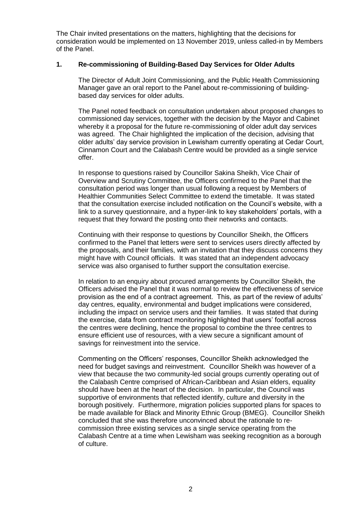The Chair invited presentations on the matters, highlighting that the decisions for consideration would be implemented on 13 November 2019, unless called-in by Members of the Panel.

#### **1. Re-commissioning of Building-Based Day Services for Older Adults**

The Director of Adult Joint Commissioning, and the Public Health Commissioning Manager gave an oral report to the Panel about re-commissioning of buildingbased day services for older adults.

The Panel noted feedback on consultation undertaken about proposed changes to commissioned day services, together with the decision by the Mayor and Cabinet whereby it a proposal for the future re-commissioning of older adult day services was agreed. The Chair highlighted the implication of the decision, advising that older adults' day service provision in Lewisham currently operating at Cedar Court, Cinnamon Court and the Calabash Centre would be provided as a single service offer.

In response to questions raised by Councillor Sakina Sheikh, Vice Chair of Overview and Scrutiny Committee, the Officers confirmed to the Panel that the consultation period was longer than usual following a request by Members of Healthier Communities Select Committee to extend the timetable. It was stated that the consultation exercise included notification on the Council's website, with a link to a survey questionnaire, and a hyper-link to key stakeholders' portals, with a request that they forward the posting onto their networks and contacts.

Continuing with their response to questions by Councillor Sheikh, the Officers confirmed to the Panel that letters were sent to services users directly affected by the proposals, and their families, with an invitation that they discuss concerns they might have with Council officials. It was stated that an independent advocacy service was also organised to further support the consultation exercise.

In relation to an enquiry about procured arrangements by Councillor Sheikh, the Officers advised the Panel that it was normal to review the effectiveness of service provision as the end of a contract agreement. This, as part of the review of adults' day centres, equality, environmental and budget implications were considered, including the impact on service users and their families. It was stated that during the exercise, data from contract monitoring highlighted that users' footfall across the centres were declining, hence the proposal to combine the three centres to ensure efficient use of resources, with a view secure a significant amount of savings for reinvestment into the service.

Commenting on the Officers' responses, Councillor Sheikh acknowledged the need for budget savings and reinvestment. Councillor Sheikh was however of a view that because the two community-led social groups currently operating out of the Calabash Centre comprised of African-Caribbean and Asian elders, equality should have been at the heart of the decision. In particular, the Council was supportive of environments that reflected identify, culture and diversity in the borough positively. Furthermore, migration policies supported plans for spaces to be made available for Black and Minority Ethnic Group (BMEG). Councillor Sheikh concluded that she was therefore unconvinced about the rationale to recommission three existing services as a single service operating from the Calabash Centre at a time when Lewisham was seeking recognition as a borough of culture.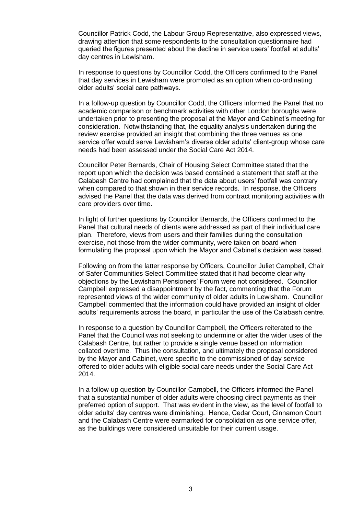Councillor Patrick Codd, the Labour Group Representative, also expressed views, drawing attention that some respondents to the consultation questionnaire had queried the figures presented about the decline in service users' footfall at adults' day centres in Lewisham.

In response to questions by Councillor Codd, the Officers confirmed to the Panel that day services in Lewisham were promoted as an option when co-ordinating older adults' social care pathways.

In a follow-up question by Councillor Codd, the Officers informed the Panel that no academic comparison or benchmark activities with other London boroughs were undertaken prior to presenting the proposal at the Mayor and Cabinet's meeting for consideration. Notwithstanding that, the equality analysis undertaken during the review exercise provided an insight that combining the three venues as one service offer would serve Lewisham's diverse older adults' client-group whose care needs had been assessed under the Social Care Act 2014.

Councillor Peter Bernards, Chair of Housing Select Committee stated that the report upon which the decision was based contained a statement that staff at the Calabash Centre had complained that the data about users' footfall was contrary when compared to that shown in their service records. In response, the Officers advised the Panel that the data was derived from contract monitoring activities with care providers over time.

In light of further questions by Councillor Bernards, the Officers confirmed to the Panel that cultural needs of clients were addressed as part of their individual care plan. Therefore, views from users and their families during the consultation exercise, not those from the wider community, were taken on board when formulating the proposal upon which the Mayor and Cabinet's decision was based.

Following on from the latter response by Officers, Councillor Juliet Campbell, Chair of Safer Communities Select Committee stated that it had become clear why objections by the Lewisham Pensioners' Forum were not considered. Councillor Campbell expressed a disappointment by the fact, commenting that the Forum represented views of the wider community of older adults in Lewisham. Councillor Campbell commented that the information could have provided an insight of older adults' requirements across the board, in particular the use of the Calabash centre.

In response to a question by Councillor Campbell, the Officers reiterated to the Panel that the Council was not seeking to undermine or alter the wider uses of the Calabash Centre, but rather to provide a single venue based on information collated overtime. Thus the consultation, and ultimately the proposal considered by the Mayor and Cabinet, were specific to the commissioned of day service offered to older adults with eligible social care needs under the Social Care Act 2014.

In a follow-up question by Councillor Campbell, the Officers informed the Panel that a substantial number of older adults were choosing direct payments as their preferred option of support. That was evident in the view, as the level of footfall to older adults' day centres were diminishing. Hence, Cedar Court, Cinnamon Court and the Calabash Centre were earmarked for consolidation as one service offer, as the buildings were considered unsuitable for their current usage.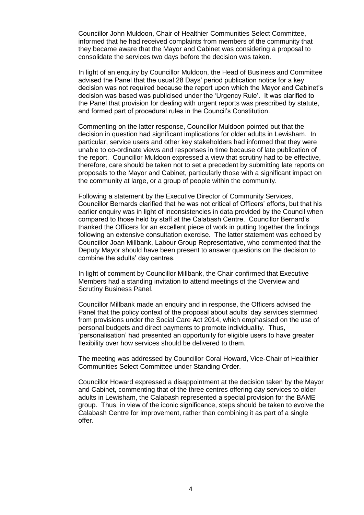Councillor John Muldoon, Chair of Healthier Communities Select Committee, informed that he had received complaints from members of the community that they became aware that the Mayor and Cabinet was considering a proposal to consolidate the services two days before the decision was taken.

In light of an enquiry by Councillor Muldoon, the Head of Business and Committee advised the Panel that the usual 28 Days' period publication notice for a key decision was not required because the report upon which the Mayor and Cabinet's decision was based was publicised under the 'Urgency Rule'. It was clarified to the Panel that provision for dealing with urgent reports was prescribed by statute, and formed part of procedural rules in the Council's Constitution.

Commenting on the latter response, Councillor Muldoon pointed out that the decision in question had significant implications for older adults in Lewisham. In particular, service users and other key stakeholders had informed that they were unable to co-ordinate views and responses in time because of late publication of the report. Councillor Muldoon expressed a view that scrutiny had to be effective, therefore, care should be taken not to set a precedent by submitting late reports on proposals to the Mayor and Cabinet, particularly those with a significant impact on the community at large, or a group of people within the community.

Following a statement by the Executive Director of Community Services, Councillor Bernards clarified that he was not critical of Officers' efforts, but that his earlier enquiry was in light of inconsistencies in data provided by the Council when compared to those held by staff at the Calabash Centre. Councillor Bernard's thanked the Officers for an excellent piece of work in putting together the findings following an extensive consultation exercise. The latter statement was echoed by Councillor Joan Millbank, Labour Group Representative, who commented that the Deputy Mayor should have been present to answer questions on the decision to combine the adults' day centres.

In light of comment by Councillor Millbank, the Chair confirmed that Executive Members had a standing invitation to attend meetings of the Overview and Scrutiny Business Panel.

Councillor Millbank made an enquiry and in response, the Officers advised the Panel that the policy context of the proposal about adults' day services stemmed from provisions under the Social Care Act 2014, which emphasised on the use of personal budgets and direct payments to promote individuality. Thus, 'personalisation' had presented an opportunity for eligible users to have greater flexibility over how services should be delivered to them.

The meeting was addressed by Councillor Coral Howard, Vice-Chair of Healthier Communities Select Committee under Standing Order.

Councillor Howard expressed a disappointment at the decision taken by the Mayor and Cabinet, commenting that of the three centres offering day services to older adults in Lewisham, the Calabash represented a special provision for the BAME group. Thus, in view of the iconic significance, steps should be taken to evolve the Calabash Centre for improvement, rather than combining it as part of a single offer.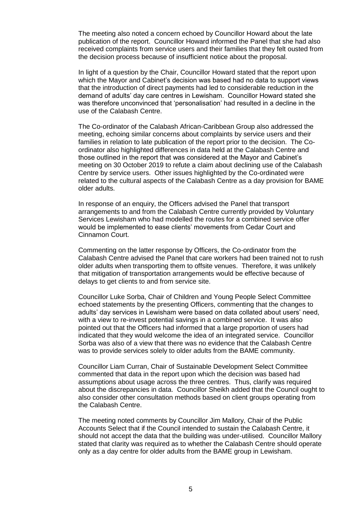The meeting also noted a concern echoed by Councillor Howard about the late publication of the report. Councillor Howard informed the Panel that she had also received complaints from service users and their families that they felt ousted from the decision process because of insufficient notice about the proposal.

In light of a question by the Chair, Councillor Howard stated that the report upon which the Mayor and Cabinet's decision was based had no data to support views that the introduction of direct payments had led to considerable reduction in the demand of adults' day care centres in Lewisham. Councillor Howard stated she was therefore unconvinced that 'personalisation' had resulted in a decline in the use of the Calabash Centre.

The Co-ordinator of the Calabash African-Caribbean Group also addressed the meeting, echoing similar concerns about complaints by service users and their families in relation to late publication of the report prior to the decision. The Coordinator also highlighted differences in data held at the Calabash Centre and those outlined in the report that was considered at the Mayor and Cabinet's meeting on 30 October 2019 to refute a claim about declining use of the Calabash Centre by service users. Other issues highlighted by the Co-ordinated were related to the cultural aspects of the Calabash Centre as a day provision for BAME older adults.

In response of an enquiry, the Officers advised the Panel that transport arrangements to and from the Calabash Centre currently provided by Voluntary Services Lewisham who had modelled the routes for a combined service offer would be implemented to ease clients' movements from Cedar Court and Cinnamon Court.

Commenting on the latter response by Officers, the Co-ordinator from the Calabash Centre advised the Panel that care workers had been trained not to rush older adults when transporting them to offsite venues. Therefore, it was unlikely that mitigation of transportation arrangements would be effective because of delays to get clients to and from service site.

Councillor Luke Sorba, Chair of Children and Young People Select Committee echoed statements by the presenting Officers, commenting that the changes to adults' day services in Lewisham were based on data collated about users' need, with a view to re-invest potential savings in a combined service. It was also pointed out that the Officers had informed that a large proportion of users had indicated that they would welcome the idea of an integrated service. Councillor Sorba was also of a view that there was no evidence that the Calabash Centre was to provide services solely to older adults from the BAME community.

Councillor Liam Curran, Chair of Sustainable Development Select Committee commented that data in the report upon which the decision was based had assumptions about usage across the three centres. Thus, clarify was required about the discrepancies in data. Councillor Sheikh added that the Council ought to also consider other consultation methods based on client groups operating from the Calabash Centre.

The meeting noted comments by Councillor Jim Mallory, Chair of the Public Accounts Select that if the Council intended to sustain the Calabash Centre, it should not accept the data that the building was under-utilised. Councillor Mallory stated that clarity was required as to whether the Calabash Centre should operate only as a day centre for older adults from the BAME group in Lewisham.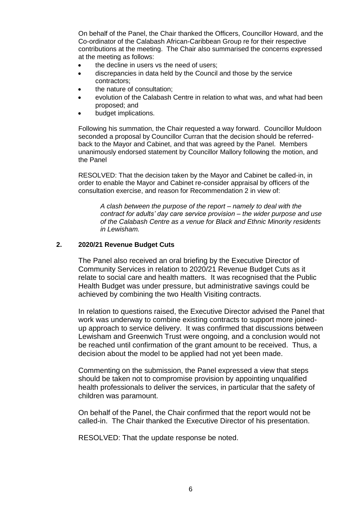On behalf of the Panel, the Chair thanked the Officers, Councillor Howard, and the Co-ordinator of the Calabash African-Caribbean Group re for their respective contributions at the meeting. The Chair also summarised the concerns expressed at the meeting as follows:

- the decline in users vs the need of users;
- discrepancies in data held by the Council and those by the service contractors;
- the nature of consultation;
- evolution of the Calabash Centre in relation to what was, and what had been proposed; and
- budget implications.

Following his summation, the Chair requested a way forward. Councillor Muldoon seconded a proposal by Councillor Curran that the decision should be referredback to the Mayor and Cabinet, and that was agreed by the Panel. Members unanimously endorsed statement by Councillor Mallory following the motion, and the Panel

RESOLVED: That the decision taken by the Mayor and Cabinet be called-in, in order to enable the Mayor and Cabinet re-consider appraisal by officers of the consultation exercise, and reason for Recommendation 2 in view of:

*A clash between the purpose of the report – namely to deal with the contract for adults' day care service provision – the wider purpose and use of the Calabash Centre as a venue for Black and Ethnic Minority residents in Lewisham.*

#### **2. 2020/21 Revenue Budget Cuts**

The Panel also received an oral briefing by the Executive Director of Community Services in relation to 2020/21 Revenue Budget Cuts as it relate to social care and health matters. It was recognised that the Public Health Budget was under pressure, but administrative savings could be achieved by combining the two Health Visiting contracts.

In relation to questions raised, the Executive Director advised the Panel that work was underway to combine existing contracts to support more joinedup approach to service delivery. It was confirmed that discussions between Lewisham and Greenwich Trust were ongoing, and a conclusion would not be reached until confirmation of the grant amount to be received. Thus, a decision about the model to be applied had not yet been made.

Commenting on the submission, the Panel expressed a view that steps should be taken not to compromise provision by appointing unqualified health professionals to deliver the services, in particular that the safety of children was paramount.

On behalf of the Panel, the Chair confirmed that the report would not be called-in. The Chair thanked the Executive Director of his presentation.

RESOLVED: That the update response be noted.